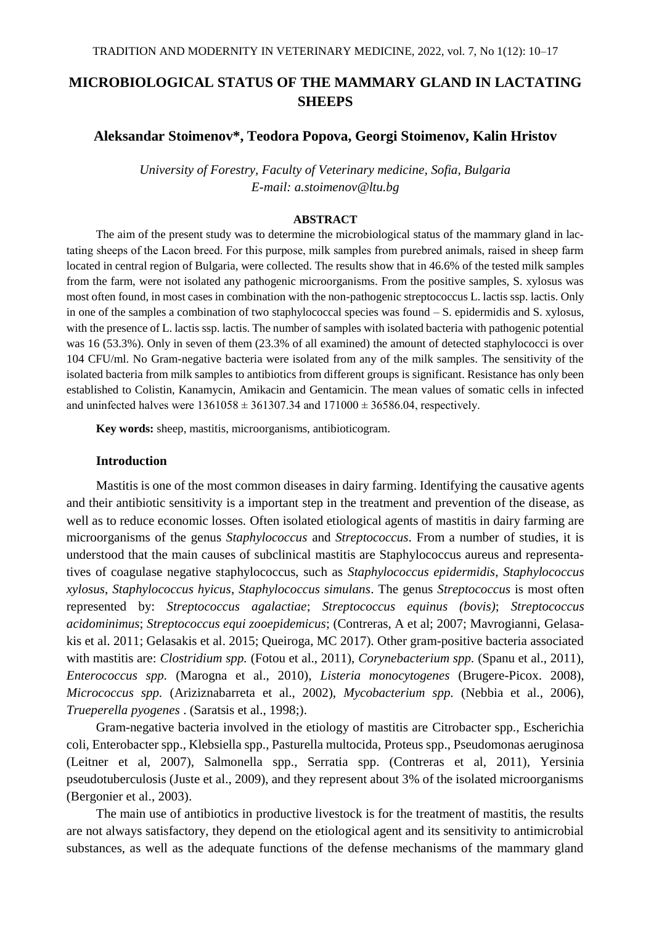# **MICROBIOLOGICAL STATUS OF THE MAMMARY GLAND IN LACTATING SHEEPS**

# **Aleksandar Stoimenov\*, Teodora Popova, Georgi Stoimenov, Kalin Hristov**

*University of Forestry, Faculty of Veterinary medicine, Sofia, Bulgaria E-mail: a.stoimenov@ltu.bg*

#### **ABSTRACT**

The aim of the present study was to determine the microbiological status of the mammary gland in lactating sheeps of the Lacon breed. For this purpose, milk samples from purebred animals, raisеd in sheep farm located in central region of Bulgaria, were collected. The results show that in 46.6% of the tested milk samples from the farm, were not isolated any pathogenic microorganisms. From the positive samples, S. xylosus was most often found, in most cases in combination with the non-pathogenic streptococcus L. lactis ssp. lactis. Only in one of the samples a combination of two staphylococcal species was found – S. epidermidis and S. xylosus, with the presence of L. lactis ssp. lactis. The number of samples with isolated bacteria with pathogenic potential was 16 (53.3%). Only in seven of them (23.3% of all examined) the amount of detected staphylococci is over 104 CFU/ml. No Gram-negative bacteria were isolated from any of the milk samples. The sensitivity of the isolated bacteria from milk samples to antibiotics from different groups is significant. Resistance has only been established to Colistin, Kanamycin, Amikacin and Gentamicin. The mean values of somatic cells in infected and uninfected halves were  $1361058 \pm 361307.34$  and  $171000 \pm 36586.04$ , respectively.

**Key words:** sheep, mastitis, microorganisms, antibioticogram.

# **Introduction**

Mastitis is one of the most common diseases in dairy farming. Identifying the causative agents and their antibiotic sensitivity is a important step in the treatment and prevention of the disease, as well as to reduce economic losses. Often isolated etiological agents of mastitis in dairy farming are microorganisms of the genus *Staphylococcus* and *Streptococcus*. From a number of studies, it is understood that the main causes of subclinical mastitis are Staphylococcus aureus and representatives of coagulase negative staphylococcus, such as *Staphylococcus epidermidis*, *Staphylococcus xylosus*, *Staphylococcus hyicus*, *Staphylococcus simulans*. The genus *Streptococcus* is most often represented by: *Streptococcus agalactiae*; *Streptococcus equinus (bovis)*; *Streptococcus acidominimus*; *Streptococcus equi zooepidemicus*; (Contreras, A et al; 2007; Mavrogianni, Gelasakis et al. 2011; Gelasakis et al. 2015; Queiroga, MC 2017). Other gram-positive bacteria associated with mastitis are: *Clostridium spp.* (Fotou et al., 2011), *Corynebacterium spp.* (Spanu et al., 2011), *Enterococcus spp.* (Marogna et al., 2010), *Listeria monocytogenes* (Brugere-Picox. 2008), *Micrococcus spp.* (Ariziznabarreta et al., 2002), *Mycobacterium spp.* (Nebbia et al., 2006), *Trueperella pyogenes* . (Saratsis et al., 1998;).

Gram-negative bacteria involved in the etiology of mastitis are Citrobacter spp., Escherichia coli, Enterobacter spp., Klebsiella spp., Pasturella multocida, Proteus spp., Pseudomonas aeruginosa (Leitner et al, 2007), Salmonella spp., Serratia spp. (Contreras et al, 2011), Yersinia pseudotuberculosis (Juste et al., 2009), and they represent about 3% of the isolated microorganisms (Bergonier et al., 2003).

The main use of antibiotics in productive livestock is for the treatment of mastitis, the results are not always satisfactory, they depend on the etiological agent and its sensitivity to antimicrobial substances, as well as the adequate functions of the defense mechanisms of the mammary gland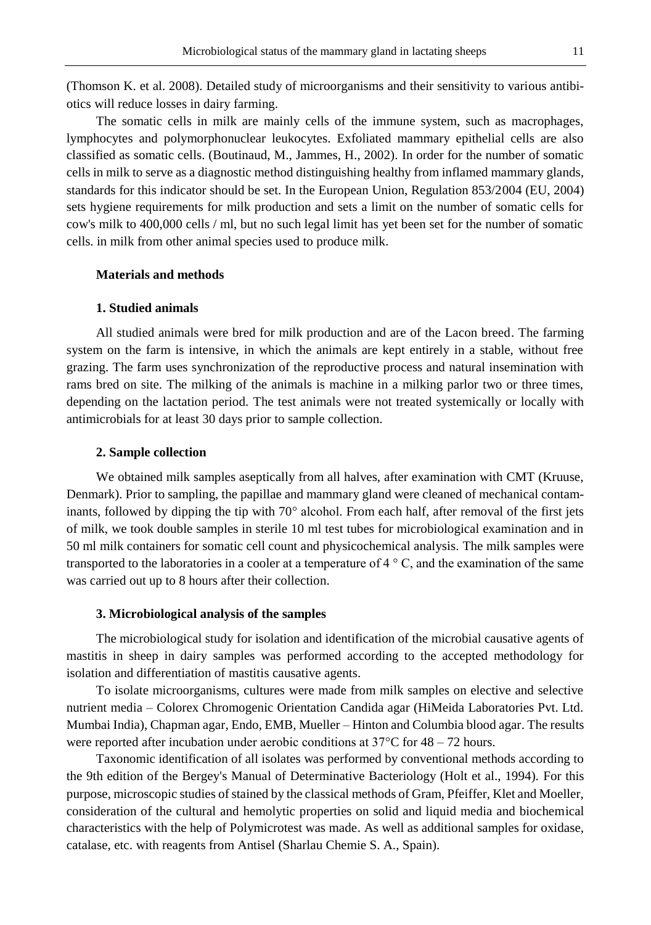(Thomson K. et al. 2008). Detailed study of microorganisms and their sensitivity to various antibiotics will reduce losses in dairy farming.

The somatic cells in milk are mainly cells of the immune system, such as macrophages, lymphocytes and polymorphonuclear leukocytes. Exfoliated mammary epithelial cells are also classified as somatic cells. (Boutinaud, M., Jammes, H., 2002). In order for the number of somatic cells in milk to serve as a diagnostic method distinguishing healthy from inflamed mammary glands, standards for this indicator should be set. In the European Union, Regulation 853/2004 (EU, 2004) sets hygiene requirements for milk production and sets a limit on the number of somatic cells for cow's milk to 400,000 cells / ml, but no such legal limit has yet been set for the number of somatic cells. in milk from other animal species used to produce milk.

## **Materials and methods**

## **1. Studied animals**

All studied animals were bred for milk production and are of the Lacon breed. The farming system on the farm is intensive, in which the animals are kept entirely in a stable, without free grazing. The farm uses synchronization of the reproductive process and natural insemination with rams bred on site. The milking of the animals is machine in a milking parlor two or three times, depending on the lactation period. The test animals were not treated systemically or locally with antimicrobials for at least 30 days prior to sample collection.

#### **2. Sample collection**

We obtained milk samples aseptically from all halves, after examination with CMT (Kruuse, Denmark). Prior to sampling, the papillae and mammary gland were cleaned of mechanical contaminants, followed by dipping the tip with 70° alcohol. From each half, after removal of the first jets of milk, we took double samples in sterile 10 ml test tubes for microbiological examination and in 50 ml milk containers for somatic cell count and physicochemical analysis. The milk samples were transported to the laboratories in a cooler at a temperature of  $4^{\circ}$  C, and the examination of the same was carried out up to 8 hours after their collection.

#### **3. Microbiological analysis of the samples**

The microbiological study for isolation and identification of the microbial causative agents of mastitis in sheep in dairy samples was performed according to the accepted methodology for isolation and differentiation of mastitis causative agents.

To isolate microorganisms, cultures were made from milk samples on elective and selective nutrient media – Colorex Chromogenic Orientation Candida agar (HiMeida Laboratories Pvt. Ltd. Mumbai India), Chapman agar, Endo, EMB, Mueller – Hinton and Columbia blood agar. The results were reported after incubation under aerobic conditions at 37°C for 48 – 72 hours.

Taxonomic identification of all isolates was performed by conventional methods according to the 9th edition of the Bergey's Manual of Determinative Bacteriology (Holt et al., 1994). For this purpose, microscopic studies of stained by the classical methods of Gram, Pfeiffer, Klet and Moeller, consideration of the cultural and hemolytic properties on solid and liquid media and biochemical characteristics with the help of Polymicrotest was made. As well as additional samples for oxidase, catalase, etc. with reagents from Antisel (Sharlau Chemie S. A., Spain).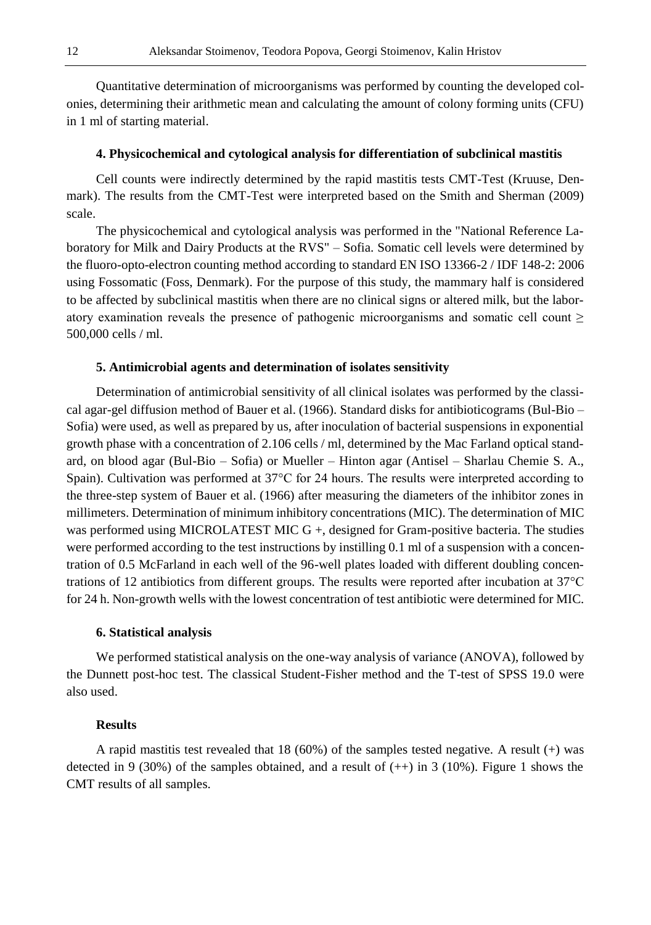Quantitative determination of microorganisms was performed by counting the developed colonies, determining their arithmetic mean and calculating the amount of colony forming units (CFU) in 1 ml of starting material.

## **4. Physicochemical and cytological analysis for differentiation of subclinical mastitis**

Cell counts were indirectly determined by the rapid mastitis tests CMT-Test (Kruuse, Denmark). The results from the CMT-Test were interpreted based on the Smith and Sherman (2009) scale.

The physicochemical and cytological analysis was performed in the "National Reference Laboratory for Milk and Dairy Products at the RVS" – Sofia. Somatic cell levels were determined by the fluoro-opto-electron counting method according to standard EN ISO 13366-2 / IDF 148-2: 2006 using Fossomatic (Foss, Denmark). For the purpose of this study, the mammary half is considered to be affected by subclinical mastitis when there are no clinical signs or altered milk, but the laboratory examination reveals the presence of pathogenic microorganisms and somatic cell count  $\geq$ 500,000 cells / ml.

## **5. Antimicrobial agents and determination of isolates sensitivity**

Determination of antimicrobial sensitivity of all clinical isolates was performed by the classical agar-gel diffusion method of Bauer et al. (1966). Standard disks for antibioticograms (Bul-Bio – Sofia) were used, as well as prepared by us, after inoculation of bacterial suspensions in exponential growth phase with a concentration of 2.106 cells / ml, determined by the Mac Farland optical standard, on blood agar (Bul-Bio – Sofia) or Mueller – Hinton agar (Antisel – Sharlau Chemie S. A., Spain). Cultivation was performed at 37°C for 24 hours. The results were interpreted according to the three-step system of Bauer et al. (1966) after measuring the diameters of the inhibitor zones in millimeters. Determination of minimum inhibitory concentrations (MIC). The determination of MIC was performed using MICROLATEST MIC G +, designed for Gram-positive bacteria. The studies were performed according to the test instructions by instilling 0.1 ml of a suspension with a concentration of 0.5 McFarland in each well of the 96-well plates loaded with different doubling concentrations of 12 antibiotics from different groups. The results were reported after incubation at 37°C for 24 h. Non-growth wells with the lowest concentration of test antibiotic were determined for MIC.

#### **6. Statistical analysis**

We performed statistical analysis on the one-way analysis of variance (ANOVA), followed by the Dunnett post-hoc test. The classical Student-Fisher method and the T-test of SPSS 19.0 were also used.

#### **Results**

A rapid mastitis test revealed that 18 (60%) of the samples tested negative. A result (+) was detected in 9 (30%) of the samples obtained, and a result of  $(++)$  in 3 (10%). Figure 1 shows the CMT results of all samples.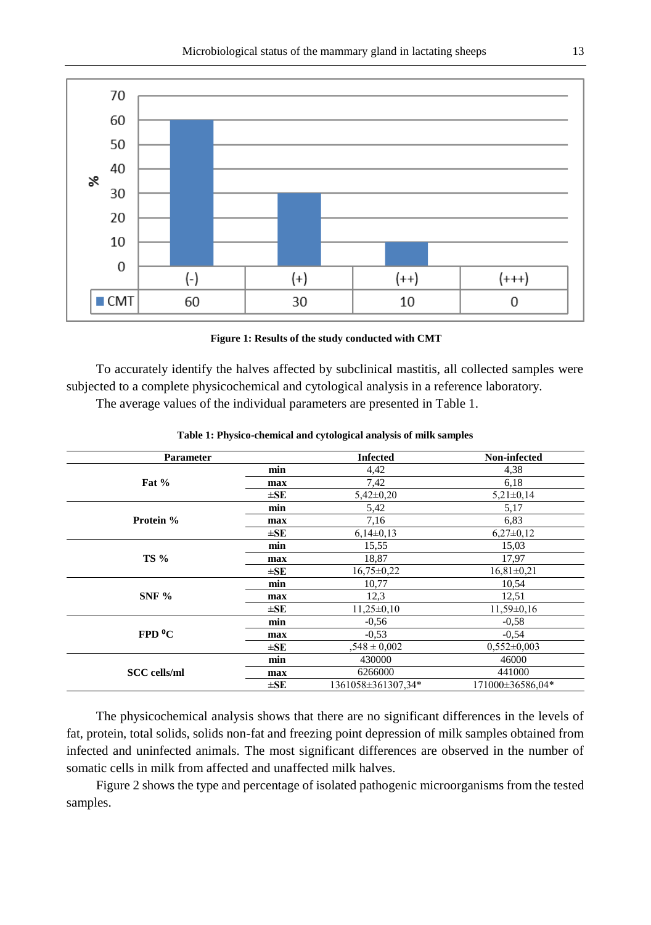

|  |  |  |  | Figure 1: Results of the study conducted with CMT |  |  |
|--|--|--|--|---------------------------------------------------|--|--|
|--|--|--|--|---------------------------------------------------|--|--|

To accurately identify the halves affected by subclinical mastitis, all collected samples were subjected to a complete physicochemical and cytological analysis in a reference laboratory.

The average values of the individual parameters are presented in Table 1.

| <b>Parameter</b>    |          | <b>Infected</b>    | Non-infected      |  |
|---------------------|----------|--------------------|-------------------|--|
|                     | min      | 4,42               | 4,38              |  |
| Fat $%$             | max      | 7,42               | 6,18              |  |
|                     | $\pm$ SE | $5,42\pm0,20$      | $5,21\pm0,14$     |  |
|                     | min      | 5,42               | 5,17              |  |
| Protein %           | max      | 7,16               | 6.83              |  |
|                     | $\pm$ SE | $6,14\pm0,13$      | $6,27\pm0,12$     |  |
|                     | min      | 15,55              | 15,03             |  |
| <b>TS</b> %         | max      | 18,87              | 17,97             |  |
|                     | $\pm$ SE | $16,75\pm0.22$     | $16,81\pm0,21$    |  |
|                     | min      | 10,77              | 10,54             |  |
| SNF%                | max      | 12,3               | 12,51             |  |
|                     | $\pm$ SE | $11,25\pm0,10$     | $11,59\pm0,16$    |  |
|                     | min      | $-0.56$            | $-0.58$           |  |
| $FPD^0C$            | max      | $-0.53$            | $-0,54$           |  |
|                     | $\pm$ SE | $.548 \pm 0.002$   | $0,552 \pm 0,003$ |  |
|                     | min      | 430000             | 46000             |  |
| <b>SCC</b> cells/ml | max      | 6266000            | 441000            |  |
|                     | $\pm$ SE | 1361058±361307,34* | 171000±36586,04*  |  |

**Table 1: Physico-chemical and cytological analysis of milk samples**

The physicochemical analysis shows that there are no significant differences in the levels of fat, protein, total solids, solids non-fat and freezing point depression of milk samples obtained from infected and uninfected animals. The most significant differences are observed in the number of somatic cells in milk from affected and unaffected milk halves.

Figure 2 shows the type and percentage of isolated pathogenic microorganisms from the tested samples.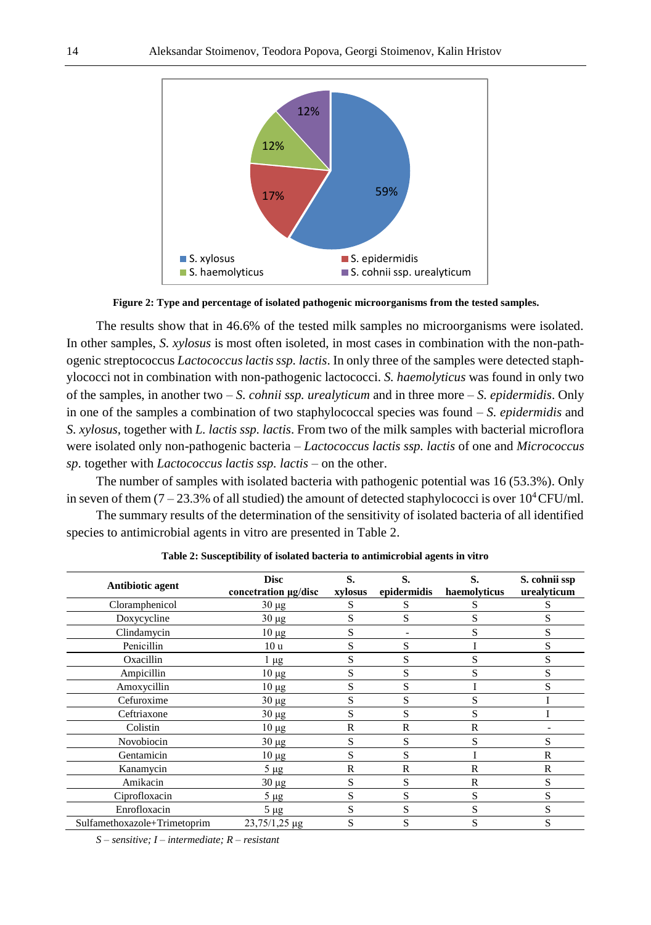

**Figure 2: Type and percentage of isolated pathogenic microorganisms from the tested samples.**

The results show that in 46.6% of the tested milk samples no microorganisms were isolated. In other samples, *S. xylosus* is most often isoleted, in most cases in combination with the non-pathogenic streptococcus *Lactococcus lactis ssp. lactis*. In only three of the samples were detected staphylococci not in combination with non-pathogenic lactococci. *S. haemolyticus* was found in only two of the samples, in another two – *S. cohnii ssp. urealyticum* and in three more – *S. epidermidis*. Only in one of the samples a combination of two staphylococcal species was found – *S. epidermidis* and *S. xylosus*, together with *L. lactis ssp. lactis*. From two of the milk samples with bacterial microflora were isolated only non-pathogenic bacteria – *Lactococcus lactis ssp. lactis* of one and *Micrococcus sp*. together with *Lactococcus lactis ssp. lactis* – on the other.

The number of samples with isolated bacteria with pathogenic potential was 16 (53.3%). Only in seven of them  $(7 - 23.3\%$  of all studied) the amount of detected staphylococci is over  $10^4$ CFU/ml.

The summary results of the determination of the sensitivity of isolated bacteria of all identified species to antimicrobial agents in vitro are presented in Table 2.

| Antibiotic agent             | <b>Disc</b><br>concetration µg/disc | S.<br>xylosus | S.<br>epidermidis | S.<br>haemolyticus | S. cohnii ssp<br>urealyticum |
|------------------------------|-------------------------------------|---------------|-------------------|--------------------|------------------------------|
| Cloramphenicol               | $30 \mu g$                          | S             | S                 | S                  | S                            |
| Doxycycline                  | $30 \mu g$                          | S             | S                 | S                  | S                            |
| Clindamycin                  | $10 \mu g$                          | S             |                   | S                  | S                            |
| Penicillin                   | 10 <sub>u</sub>                     | S             | S                 |                    | S                            |
| Oxacillin                    | l μg                                | S             | S                 | S                  | S                            |
| Ampicillin                   | $10 \mu$ g                          | S             | S                 |                    | S                            |
| Amoxycillin                  | $10 \mu g$                          | S             | S                 |                    | S                            |
| Cefuroxime                   | $30 \mu g$                          | S             | S                 | S                  |                              |
| Ceftriaxone                  | $30 \mu g$                          | S             | S                 |                    |                              |
| Colistin                     | $10 \mu g$                          | R             | R                 | R                  |                              |
| Novobiocin                   | $30 \mu g$                          | S             | S                 | S                  | S                            |
| Gentamicin                   | $10 \mu$ g                          | S             | S                 |                    | $\mathbb{R}$                 |
| Kanamycin                    | $5 \mu g$                           | $\mathbb{R}$  | $\mathbb{R}$      | $\mathbb{R}$       | $\mathbb{R}$                 |
| Amikacin                     | $30 \mu g$                          | S             | S                 | $\mathsf{R}$       | S                            |
| Ciprofloxacin                | $5 \mu g$                           | S             | S                 | S                  | S                            |
| Enrofloxacin                 | $5 \mu g$                           | S             | S                 | S                  | S                            |
| Sulfamethoxazole+Trimetoprim | $23,75/1,25 \mu g$                  | S             | S                 | S                  | S                            |

**Table 2: Susceptibility of isolated bacteria to antimicrobial agents in vitro**

*S – sensitive; I – intermediate; R – resistant*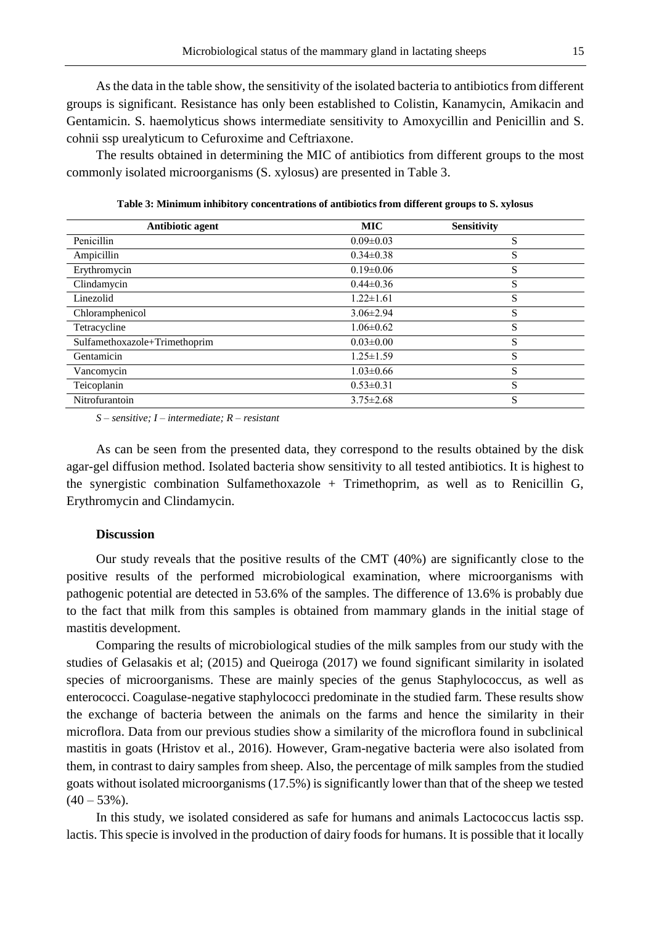As the data in the table show, the sensitivity of the isolated bacteria to antibiotics from different groups is significant. Resistance has only been established to Colistin, Kanamycin, Amikacin and Gentamicin. S. haemolyticus shows intermediate sensitivity to Amoxycillin and Penicillin and S. cohnii ssp urealyticum to Cefuroxime and Ceftriaxone.

The results obtained in determining the MIC of antibiotics from different groups to the most commonly isolated microorganisms (S. xylosus) are presented in Table 3.

| Antibiotic agent              | <b>MIC</b>      | <b>Sensitivity</b> |
|-------------------------------|-----------------|--------------------|
| Penicillin                    | $0.09 \pm 0.03$ | S                  |
| Ampicillin                    | $0.34 \pm 0.38$ | S                  |
| Erythromycin                  | $0.19 \pm 0.06$ | S                  |
| Clindamycin                   | $0.44 \pm 0.36$ | S                  |
| Linezolid                     | $1.22 \pm 1.61$ | S                  |
| Chloramphenicol               | $3.06 \pm 2.94$ | S                  |
| Tetracycline                  | $1.06 \pm 0.62$ | S                  |
| Sulfamethoxazole+Trimethoprim | $0.03 \pm 0.00$ | S                  |
| Gentamicin                    | $1.25 \pm 1.59$ | S                  |
| Vancomycin                    | $1.03 \pm 0.66$ | S                  |
| Teicoplanin                   | $0.53 \pm 0.31$ | S                  |
| Nitrofurantoin                | $3.75 \pm 2.68$ | S                  |

**Table 3: Minimum inhibitory concentrations of antibiotics from different groups to S. xylosus**

*S – sensitive; I – intermediate; R – resistant*

As can be seen from the presented data, they correspond to the results obtained by the disk agar-gel diffusion method. Isolated bacteria show sensitivity to all tested antibiotics. It is highest to the synergistic combination Sulfamethoxazole + Trimethoprim, as well as to Renicillin G, Erythromycin and Clindamycin.

### **Discussion**

Our study reveals that the positive results of the CMT (40%) are significantly close to the positive results of the performed microbiological examination, where microorganisms with pathogenic potential are detected in 53.6% of the samples. The difference of 13.6% is probably due to the fact that milk from this samples is obtained from mammary glands in the initial stage of mastitis development.

Comparing the results of microbiological studies of the milk samples from our study with the studies of Gelasakis et al; (2015) and Queiroga (2017) we found significant similarity in isolated species of microorganisms. These are mainly species of the genus Staphylococcus, as well as enterococci. Coagulase-negative staphylococci predominate in the studied farm. These results show the exchange of bacteria between the animals on the farms and hence the similarity in their microflora. Data from our previous studies show a similarity of the microflora found in subclinical mastitis in goats (Hristov et al., 2016). However, Gram-negative bacteria were also isolated from them, in contrast to dairy samples from sheep. Also, the percentage of milk samples from the studied goats without isolated microorganisms (17.5%) is significantly lower than that of the sheep we tested  $(40 - 53\%)$ .

In this study, we isolated considered as safe for humans and animals Lactococcus lactis ssp. lactis. This specie is involved in the production of dairy foods for humans. It is possible that it locally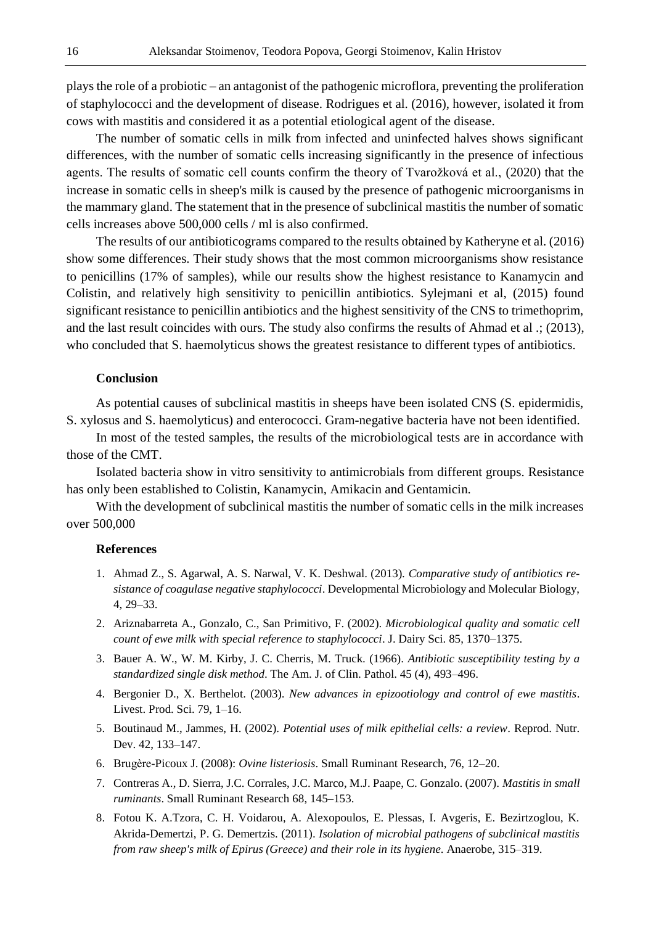plays the role of a probiotic – an antagonist of the pathogenic microflora, preventing the proliferation of staphylococci and the development of disease. Rodrigues et al. (2016), however, isolated it from cows with mastitis and considered it as a potential etiological agent of the disease.

The number of somatic cells in milk from infected and uninfected halves shows significant differences, with the number of somatic cells increasing significantly in the presence of infectious agents. The results of somatic cell counts confirm the theory of Tvarožková et al., (2020) that the increase in somatic cells in sheep's milk is caused by the presence of pathogenic microorganisms in the mammary gland. The statement that in the presence of subclinical mastitis the number of somatic cells increases above 500,000 cells / ml is also confirmed.

The results of our antibioticograms compared to the results obtained by Katheryne et al. (2016) show some differences. Their study shows that the most common microorganisms show resistance to penicillins (17% of samples), while our results show the highest resistance to Kanamycin and Colistin, and relatively high sensitivity to penicillin antibiotics. Sylejmani et al, (2015) found significant resistance to penicillin antibiotics and the highest sensitivity of the CNS to trimethoprim, and the last result coincides with ours. The study also confirms the results of Ahmad et al .; (2013), who concluded that S. haemolyticus shows the greatest resistance to different types of antibiotics.

## **Conclusion**

As potential causes of subclinical mastitis in sheeps have been isolated CNS (S. epidermidis, S. xylosus and S. haemolyticus) and enterococci. Gram-negative bacteria have not been identified.

In most of the tested samples, the results of the microbiological tests are in accordance with those of the CMT.

Isolated bacteria show in vitro sensitivity to antimicrobials from different groups. Resistance has only been established to Colistin, Kanamycin, Amikacin and Gentamicin.

With the development of subclinical mastitis the number of somatic cells in the milk increases over 500,000

#### **References**

- 1. Ahmad Z., S. Agarwal, A. S. Narwal, V. K. Deshwal. (2013). *Comparative study of antibiotics resistance of coagulase negative staphylococci*. Developmental Microbiology and Molecular Biology, 4, 29–33.
- 2. Ariznabarreta A., Gonzalo, C., San Primitivo, F. (2002). *Microbiological quality and somatic cell count of ewe milk with special reference to staphylococci*. J. Dairy Sci. 85, 1370–1375.
- 3. Bauer A. W., W. M. Kirby, J. C. Cherris, M. Truck. (1966). *Antibiotic susceptibility testing by a standardized single disk method*. The Am. J. of Clin. Pathol. 45 (4), 493–496.
- 4. Bergonier D., X. Berthelot. (2003). *New advances in epizootiology and control of ewe mastitis*. Livest. Prod. Sci. 79, 1–16.
- 5. Boutinaud M., Jammes, H. (2002). *Potential uses of milk epithelial cells: a review*. Reprod. Nutr. Dev. 42, 133–147.
- 6. Brugère-Picoux J. (2008): *Ovine listeriosis*. Small Ruminant Research, 76, 12–20.
- 7. Contreras A., D. Sierra, J.C. Corrales, J.C. Marco, M.J. Paape, C. Gonzalo. (2007). *Mastitis in small ruminants*. Small Ruminant Research 68, 145–153.
- 8. Fotou K. A.Tzora, C. H. Voidarou, A. Alexopoulos, E. Plessas, I. Avgeris, E. Bezirtzoglou, K. Akrida-Demertzi, P. G. Demertzis. (2011). *Isolation of microbial pathogens of subclinical mastitis from raw sheep's milk of Epirus (Greece) and their role in its hygiene*. Anaerobe, 315–319.